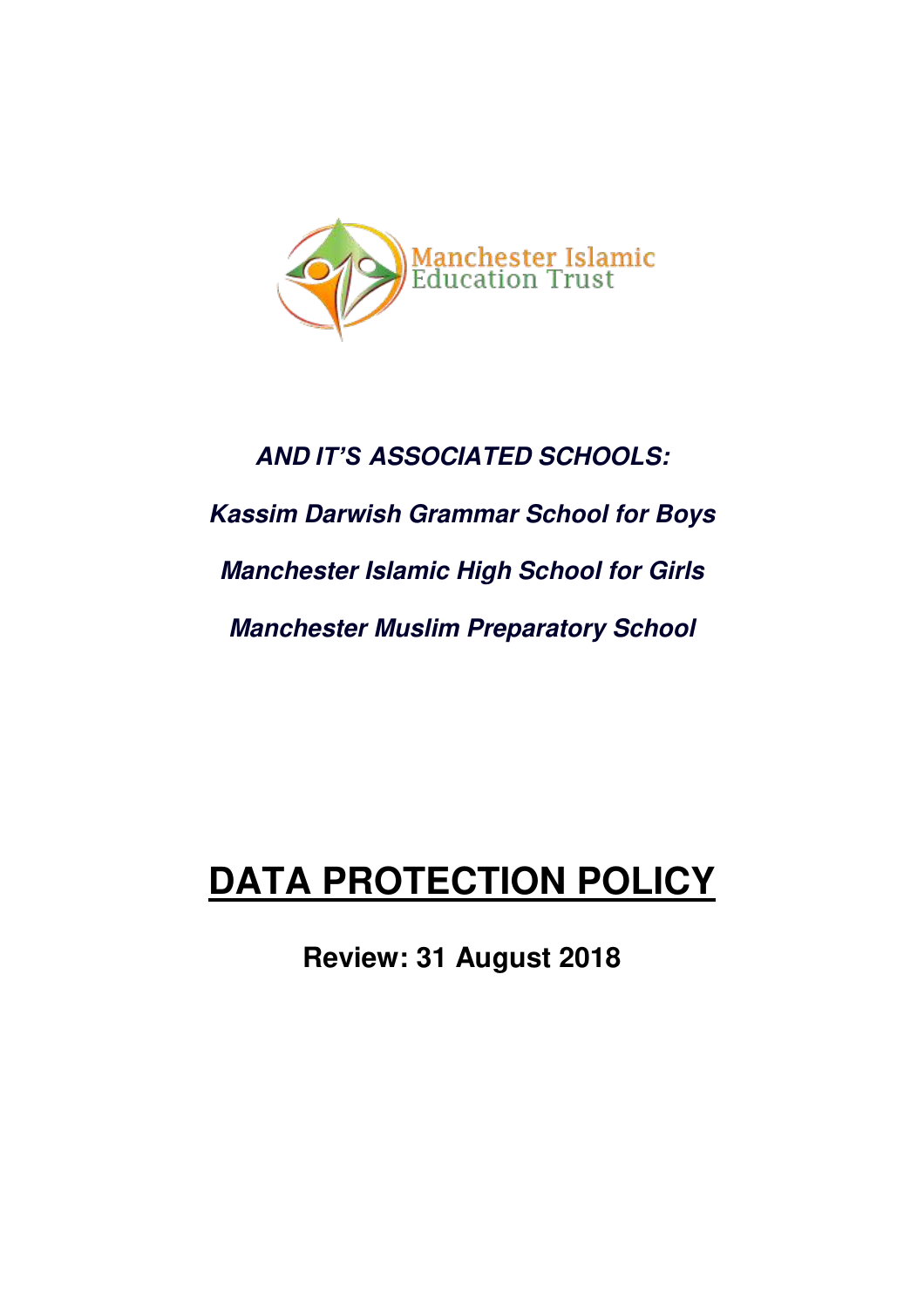

# *AND IT'S ASSOCIATED SCHOOLS: Kassim Darwish Grammar School for Boys Manchester Islamic High School for Girls Manchester Muslim Preparatory School*

## **DATA PROTECTION POLICY**

**Review: 31 August 2018**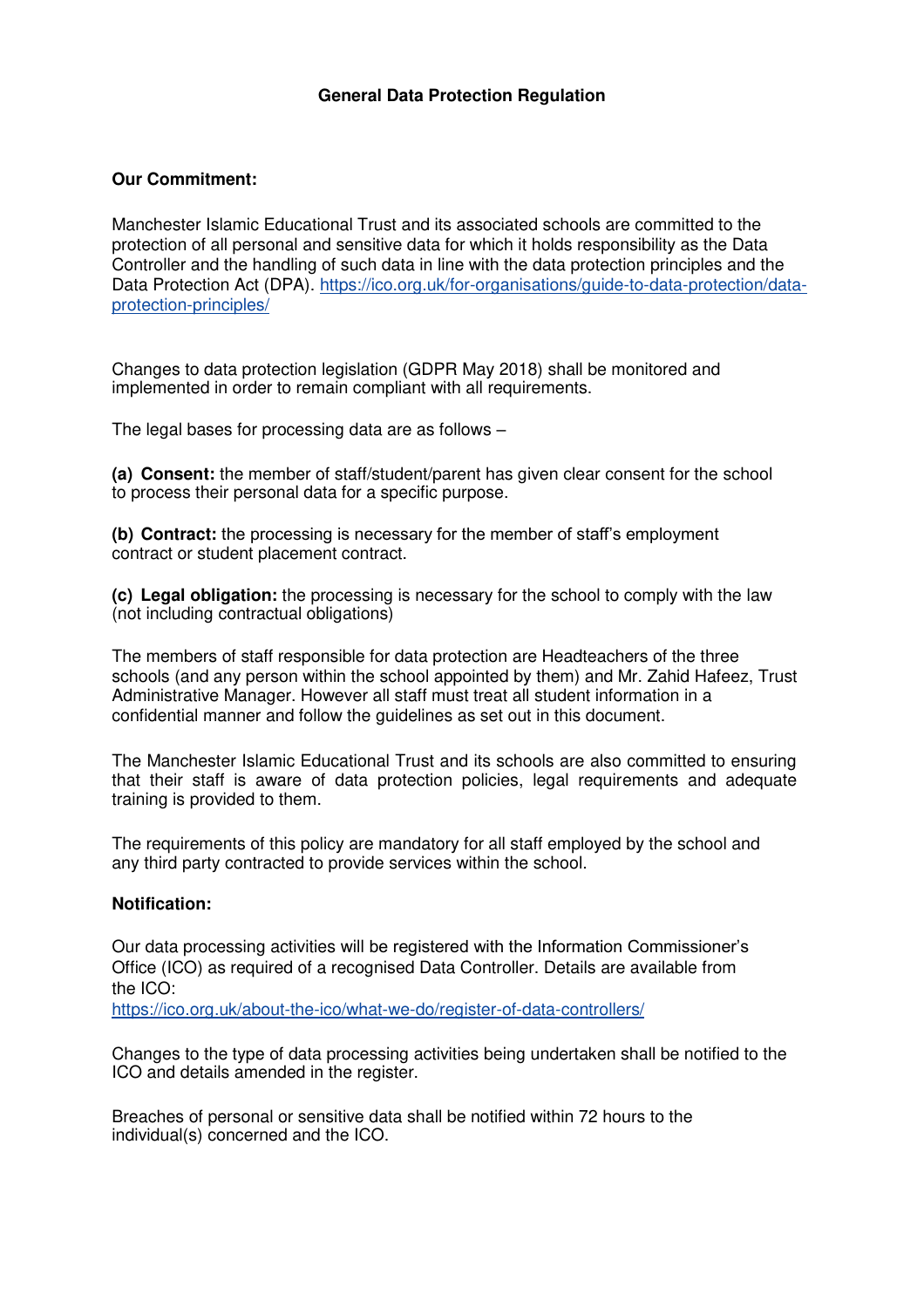## **Our Commitment:**

Manchester Islamic Educational Trust and its associated schools are committed to the protection of all personal and sensitive data for which it holds responsibility as the Data Controller and the handling of such data in line with the data protection principles and the Data Protection Act (DPA). https://ico.org.uk/for-organisations/guide-to-data-protection/dataprotection-principles/

Changes to data protection legislation (GDPR May 2018) shall be monitored and implemented in order to remain compliant with all requirements.

The legal bases for processing data are as follows –

**(a) Consent:** the member of staff/student/parent has given clear consent for the school to process their personal data for a specific purpose.

**(b) Contract:** the processing is necessary for the member of staff's employment contract or student placement contract.

**(c) Legal obligation:** the processing is necessary for the school to comply with the law (not including contractual obligations)

The members of staff responsible for data protection are Headteachers of the three schools (and any person within the school appointed by them) and Mr. Zahid Hafeez, Trust Administrative Manager. However all staff must treat all student information in a confidential manner and follow the guidelines as set out in this document.

The Manchester Islamic Educational Trust and its schools are also committed to ensuring that their staff is aware of data protection policies, legal requirements and adequate training is provided to them.

The requirements of this policy are mandatory for all staff employed by the school and any third party contracted to provide services within the school.

## **Notification:**

Our data processing activities will be registered with the Information Commissioner's Office (ICO) as required of a recognised Data Controller. Details are available from the ICO:

https://ico.org.uk/about-the-ico/what-we-do/register-of-data-controllers/

Changes to the type of data processing activities being undertaken shall be notified to the ICO and details amended in the register.

Breaches of personal or sensitive data shall be notified within 72 hours to the individual(s) concerned and the ICO.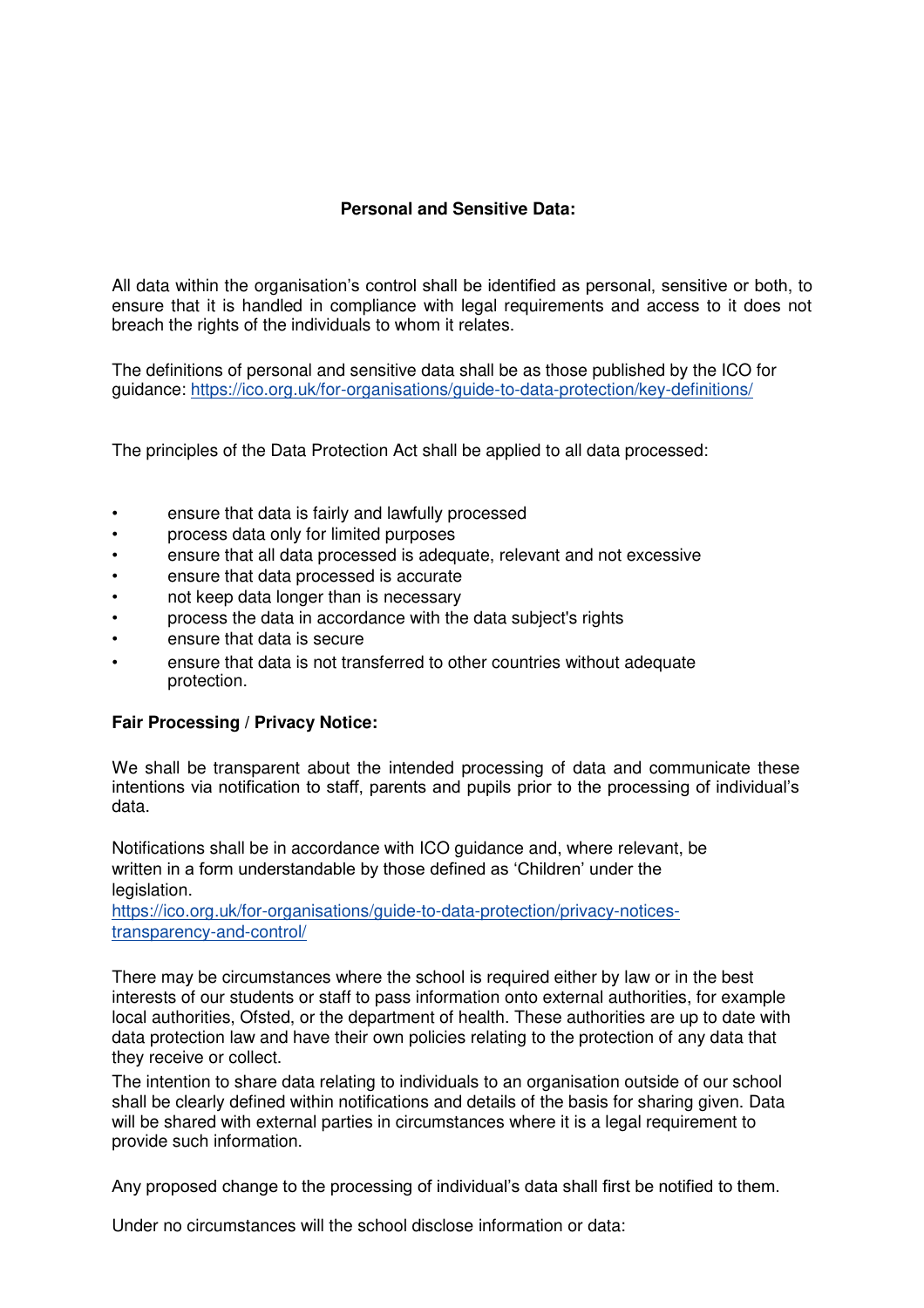## **Personal and Sensitive Data:**

All data within the organisation's control shall be identified as personal, sensitive or both, to ensure that it is handled in compliance with legal requirements and access to it does not breach the rights of the individuals to whom it relates.

The definitions of personal and sensitive data shall be as those published by the ICO for guidance: https://ico.org.uk/for-organisations/guide-to-data-protection/key-definitions/

The principles of the Data Protection Act shall be applied to all data processed:

- ensure that data is fairly and lawfully processed
- process data only for limited purposes
- ensure that all data processed is adequate, relevant and not excessive
- ensure that data processed is accurate
- not keep data longer than is necessary
- process the data in accordance with the data subject's rights
- ensure that data is secure
- ensure that data is not transferred to other countries without adequate protection.

## **Fair Processing / Privacy Notice:**

We shall be transparent about the intended processing of data and communicate these intentions via notification to staff, parents and pupils prior to the processing of individual's data.

Notifications shall be in accordance with ICO guidance and, where relevant, be written in a form understandable by those defined as 'Children' under the legislation.

https://ico.org.uk/for-organisations/guide-to-data-protection/privacy-noticestransparency-and-control/

There may be circumstances where the school is required either by law or in the best interests of our students or staff to pass information onto external authorities, for example local authorities, Ofsted, or the department of health. These authorities are up to date with data protection law and have their own policies relating to the protection of any data that they receive or collect.

The intention to share data relating to individuals to an organisation outside of our school shall be clearly defined within notifications and details of the basis for sharing given. Data will be shared with external parties in circumstances where it is a legal requirement to provide such information.

Any proposed change to the processing of individual's data shall first be notified to them.

Under no circumstances will the school disclose information or data: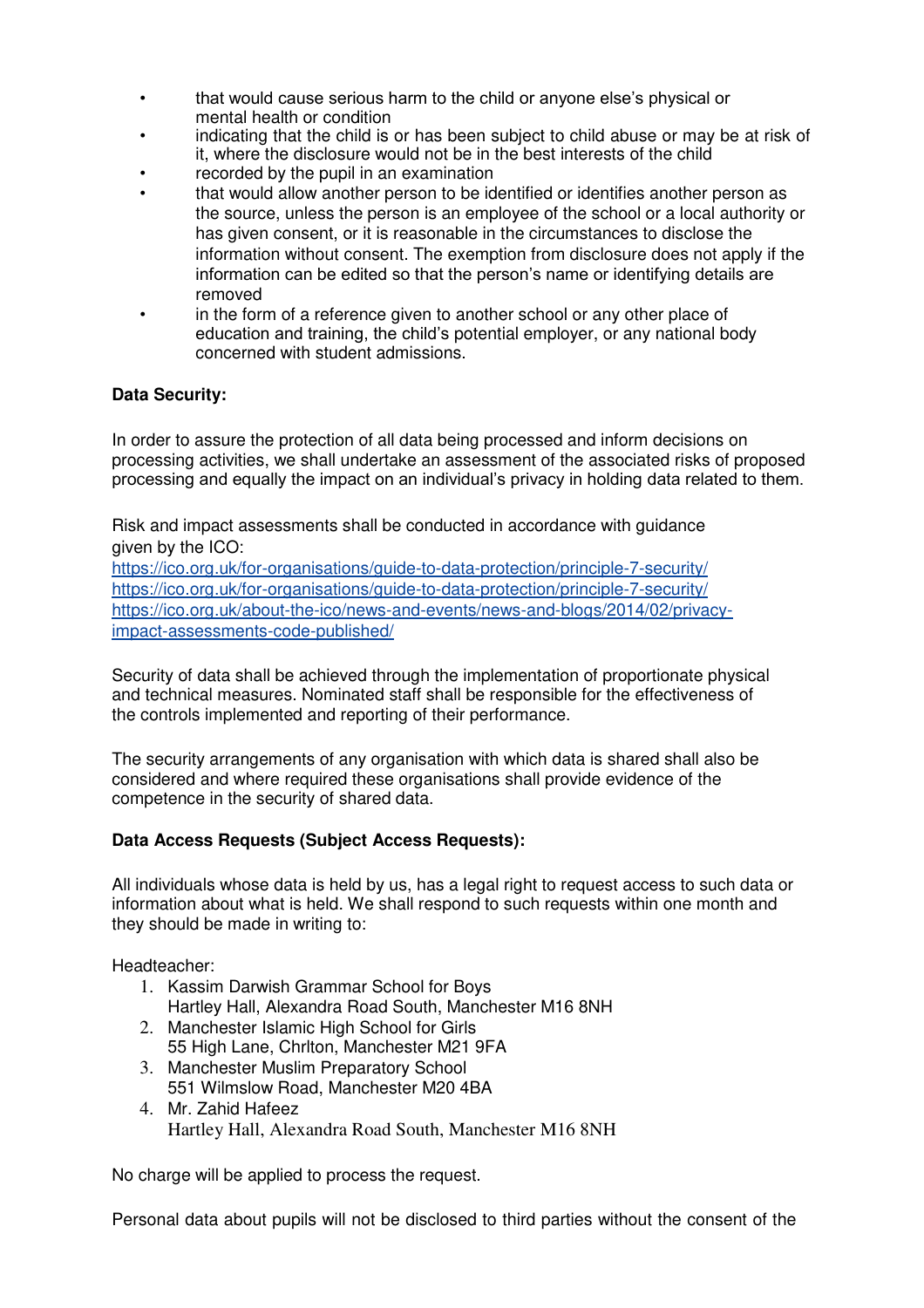- that would cause serious harm to the child or anyone else's physical or mental health or condition
- indicating that the child is or has been subject to child abuse or may be at risk of it, where the disclosure would not be in the best interests of the child
- recorded by the pupil in an examination
- that would allow another person to be identified or identifies another person as the source, unless the person is an employee of the school or a local authority or has given consent, or it is reasonable in the circumstances to disclose the information without consent. The exemption from disclosure does not apply if the information can be edited so that the person's name or identifying details are removed
- in the form of a reference given to another school or any other place of education and training, the child's potential employer, or any national body concerned with student admissions.

## **Data Security:**

In order to assure the protection of all data being processed and inform decisions on processing activities, we shall undertake an assessment of the associated risks of proposed processing and equally the impact on an individual's privacy in holding data related to them.

Risk and impact assessments shall be conducted in accordance with guidance given by the ICO:

https://ico.org.uk/for-organisations/guide-to-data-protection/principle-7-security/ https://ico.org.uk/for-organisations/guide-to-data-protection/principle-7-security/ https://ico.org.uk/about-the-ico/news-and-events/news-and-blogs/2014/02/privacyimpact-assessments-code-published/

Security of data shall be achieved through the implementation of proportionate physical and technical measures. Nominated staff shall be responsible for the effectiveness of the controls implemented and reporting of their performance.

The security arrangements of any organisation with which data is shared shall also be considered and where required these organisations shall provide evidence of the competence in the security of shared data.

## **Data Access Requests (Subject Access Requests):**

All individuals whose data is held by us, has a legal right to request access to such data or information about what is held. We shall respond to such requests within one month and they should be made in writing to:

Headteacher:

- 1. Kassim Darwish Grammar School for Boys Hartley Hall, Alexandra Road South, Manchester M16 8NH
- 2. Manchester Islamic High School for Girls 55 High Lane, Chrlton, Manchester M21 9FA
- 3. Manchester Muslim Preparatory School 551 Wilmslow Road, Manchester M20 4BA
- 4. Mr. Zahid Hafeez Hartley Hall, Alexandra Road South, Manchester M16 8NH

No charge will be applied to process the request.

Personal data about pupils will not be disclosed to third parties without the consent of the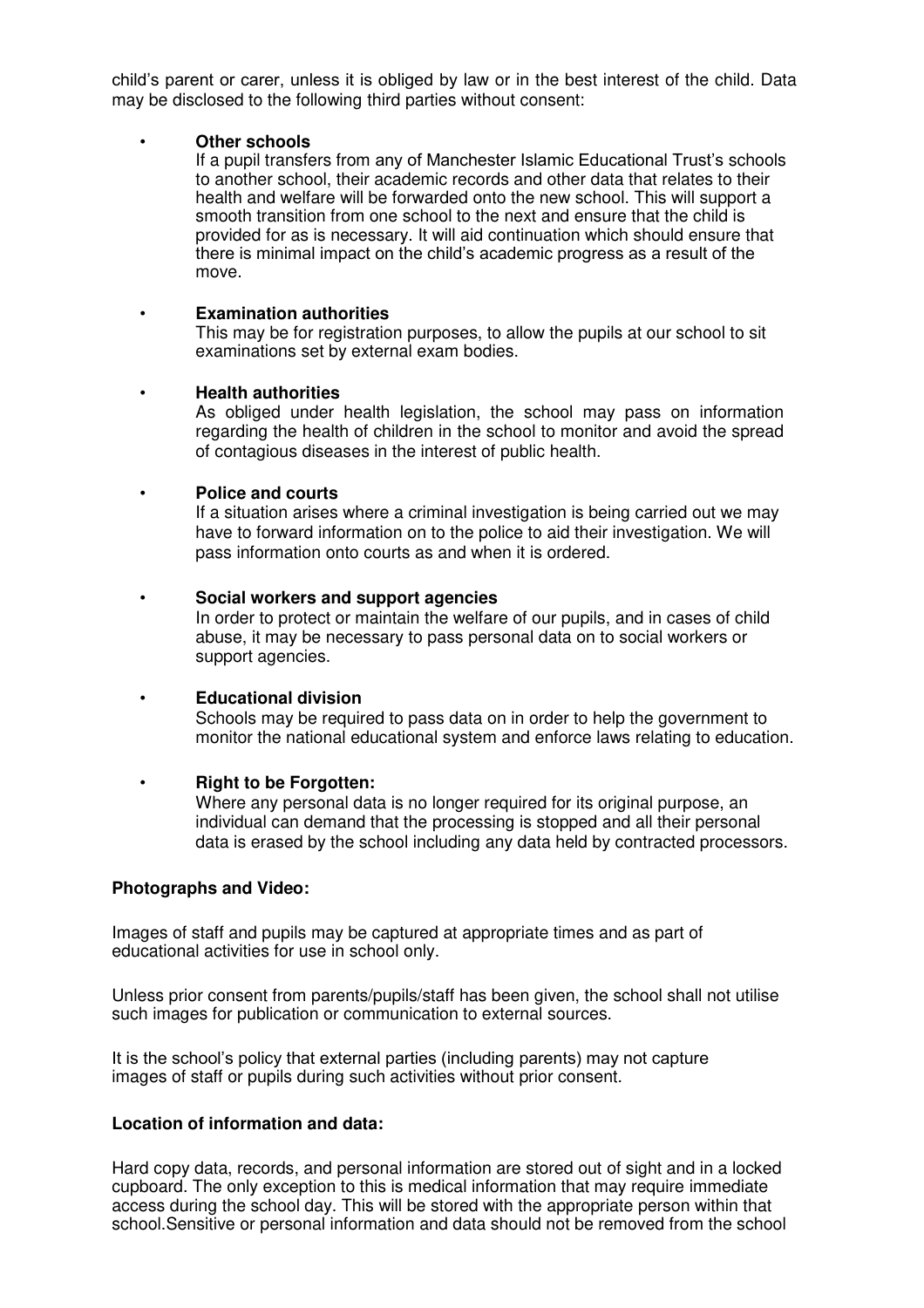child's parent or carer, unless it is obliged by law or in the best interest of the child. Data may be disclosed to the following third parties without consent:

#### • **Other schools**

If a pupil transfers from any of Manchester Islamic Educational Trust's schools to another school, their academic records and other data that relates to their health and welfare will be forwarded onto the new school. This will support a smooth transition from one school to the next and ensure that the child is provided for as is necessary. It will aid continuation which should ensure that there is minimal impact on the child's academic progress as a result of the move.

#### • **Examination authorities**

This may be for registration purposes, to allow the pupils at our school to sit examinations set by external exam bodies.

#### • **Health authorities**

As obliged under health legislation, the school may pass on information regarding the health of children in the school to monitor and avoid the spread of contagious diseases in the interest of public health.

#### • **Police and courts**

If a situation arises where a criminal investigation is being carried out we may have to forward information on to the police to aid their investigation. We will pass information onto courts as and when it is ordered.

#### • **Social workers and support agencies**

In order to protect or maintain the welfare of our pupils, and in cases of child abuse, it may be necessary to pass personal data on to social workers or support agencies.

## • **Educational division**

Schools may be required to pass data on in order to help the government to monitor the national educational system and enforce laws relating to education.

## • **Right to be Forgotten:**

Where any personal data is no longer required for its original purpose, an individual can demand that the processing is stopped and all their personal data is erased by the school including any data held by contracted processors.

#### **Photographs and Video:**

Images of staff and pupils may be captured at appropriate times and as part of educational activities for use in school only.

Unless prior consent from parents/pupils/staff has been given, the school shall not utilise such images for publication or communication to external sources.

It is the school's policy that external parties (including parents) may not capture images of staff or pupils during such activities without prior consent.

#### **Location of information and data:**

Hard copy data, records, and personal information are stored out of sight and in a locked cupboard. The only exception to this is medical information that may require immediate access during the school day. This will be stored with the appropriate person within that school.Sensitive or personal information and data should not be removed from the school